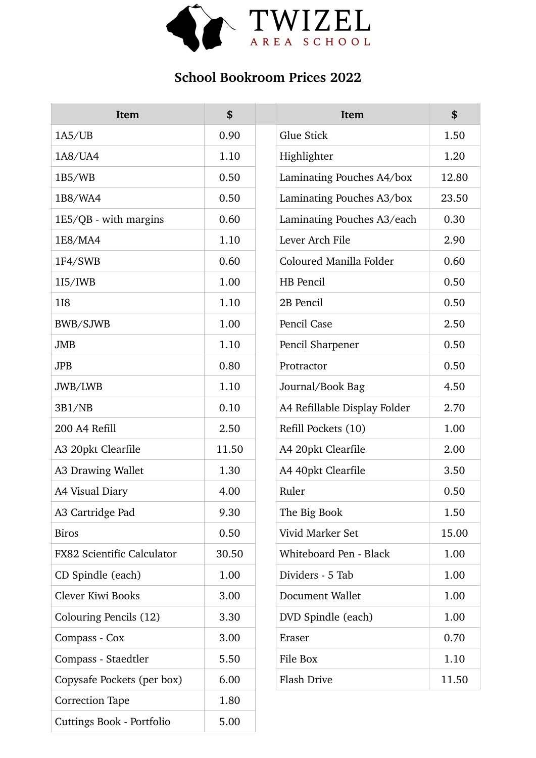

## **School Bookroom Prices 2022**

| Item                              | \$    | Item                         | \$    |
|-----------------------------------|-------|------------------------------|-------|
| 1A5/UB                            | 0.90  | Glue Stick                   | 1.50  |
| 1A8/UA4                           | 1.10  | Highlighter                  | 1.20  |
| 1B5/WB                            | 0.50  | Laminating Pouches A4/box    | 12.80 |
| 1B8/WA4                           | 0.50  | Laminating Pouches A3/box    | 23.50 |
| 1E5/QB - with margins             | 0.60  | Laminating Pouches A3/each   | 0.30  |
| 1E8/MA4                           | 1.10  | Lever Arch File              | 2.90  |
| 1F4/SWB                           | 0.60  | Coloured Manilla Folder      | 0.60  |
| 115/IWB                           | 1.00  | HB Pencil                    | 0.50  |
| <b>118</b>                        | 1.10  | 2B Pencil                    | 0.50  |
| BWB/SJWB                          | 1.00  | Pencil Case                  | 2.50  |
| <b>JMB</b>                        | 1.10  | Pencil Sharpener             | 0.50  |
| <b>JPB</b>                        | 0.80  | Protractor                   | 0.50  |
| JWB/LWB                           | 1.10  | Journal/Book Bag             | 4.50  |
| 3B1/NB                            | 0.10  | A4 Refillable Display Folder | 2.70  |
| 200 A4 Refill                     | 2.50  | Refill Pockets (10)          | 1.00  |
| A3 20pkt Clearfile                | 11.50 | A4 20pkt Clearfile           | 2.00  |
| A3 Drawing Wallet                 | 1.30  | A4 40pkt Clearfile           | 3.50  |
| A4 Visual Diary                   | 4.00  | Ruler                        | 0.50  |
| A3 Cartridge Pad                  | 9.30  | The Big Book                 | 1.50  |
| <b>Biros</b>                      | 0.50  | Vivid Marker Set             | 15.00 |
| <b>FX82 Scientific Calculator</b> | 30.50 | Whiteboard Pen - Black       | 1.00  |
| CD Spindle (each)                 | 1.00  | Dividers - 5 Tab             | 1.00  |
| Clever Kiwi Books                 | 3.00  | Document Wallet              | 1.00  |
| Colouring Pencils (12)            | 3.30  | DVD Spindle (each)           | 1.00  |
| Compass - Cox                     | 3.00  | Eraser                       | 0.70  |
| Compass - Staedtler               | 5.50  | File Box                     | 1.10  |
| Copysafe Pockets (per box)        | 6.00  | <b>Flash Drive</b>           | 11.50 |
| <b>Correction Tape</b>            | 1.80  |                              |       |
| Cuttings Book - Portfolio         | 5.00  |                              |       |